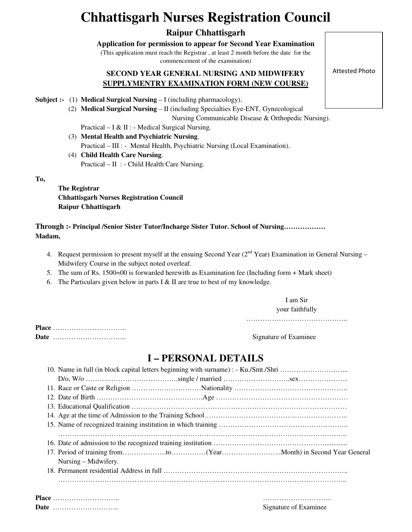# **Chhattisgarh Nurses Registration Council**

### **Raipur Chhattisgarh**

**Application for permission to appear for Second Year Examination**

(This application must reach the Registrar , at least 2 month before the date for the commencement of the examination)

### **SECOND YEAR GENERAL NURSING AND MIDWIFERY SUPPLYMENTRY EXAMINATION FORM (NEW COURSE)**

**Subject :-** (1) **Medical Surgical Nursing** – I (including pharmacology).

(2) **Medical Surgical Nursing** – II (including Specialties Eye-ENT, Gynecological

Nursing Communicable Disease & Orthopedic Nursing).

Practical – I & II : - Medical Surgical Nursing.

- (3) **Mental Health and Psychiatric Nursing**. Practical – III : - Mental Health, Psychiatric Nursing (Local Examination).
- (4) **Child Health Care Nursing**. Practical – II : - Child Health Care Nursing.

**To,** 

**The Registrar Chhattisgarh Nurses Registration Council Raipur Chhattisgarh** 

**Through :- Principal /Senior Sister Tutor/Incharge Sister Tutor. School of Nursing……………… Madam,** 

- 4. Request permission to present myself at the ensuing Second Year ( $2<sup>nd</sup>$  Year) Examination in General Nursing Midwifery Course in the subject noted overleaf.
- 5. The sum of Rs. 1500=00 is forwarded herewith as Examination fee (Including form + Mark sheet)
- 6. The Particulars given below in parts I  $&$  II are true to best of my knowledge.

I am Sir your faithfully

……………………………………………

**Place** ………………………….. **Date** ………………………….. Signature of Examinee

# **I – PERSONAL DETAILS**

| Nursing – Midwifery. |  |
|----------------------|--|
|                      |  |
|                      |  |
|                      |  |

Attested Photo

**Place** ……………………….. ………………………... **Date** ……………………….. Signature of Examinee